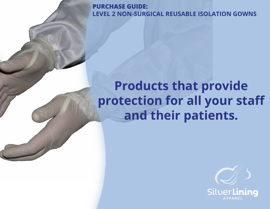**PURCHASE GUIDE: LEVEL 2 NON-SURGICAL REUSABLE ISOLATION GOWNS**

## **Products that provide protection for all your staff and their patients.**

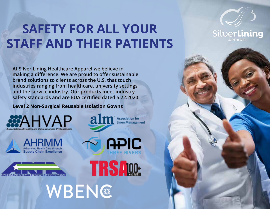## **SAFETY FOR ALL YOUR STAFF AND THEIR PATIENTS**

alm Association for

**APIC** 

**TRSAW**:

SilverLining

**At Silver Lining Healthcare Apparel we believe in making a difference. We are proud to offer sustainable brand solutions to clients across the U.S. that touch industries ranging from healthcare, university settings, and the service industry. Our products meet industry safety standards and are EUA certified dated 5.22.2020.** 

**Level 2 Non-Surgical Reusable Isolation Gowns**

**CAHVAP** 





WBEN®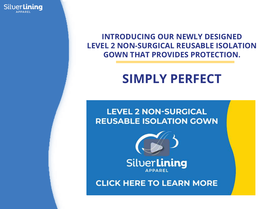SilverLining

### **INTRODUCING OUR NEWLY DESIGNED LEVEL 2 NON-SURGICAL REUSABLE ISOLATION GOWN THAT PROVIDES PROTECTION.**

## **SIMPLY PERFECT**

**LEVEL 2 NON-SURGICAL REUSABLE ISOLATION GOWN** 



SilverLining **APPAREL** 

**CLICK HERE TO LEARN MORE**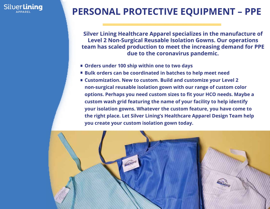

## **PERSONAL PROTECTIVE EQUIPMENT – PPE**

**Silver Lining Healthcare Apparel specializes in the manufacture of Level 2 Non-Surgical Reusable Isolation Gowns. Our operations team has scaled production to meet the increasing demand for PPE due to the coronavirus pandemic.**

- **Orders under 100 ship within one to two days**
- **Bulk orders can be coordinated in batches to help meet need**
- **Customization. New to custom. Build and customize your Level 2 non-surgical reusable isolation gown with our range of custom color options. Perhaps you need custom sizes to fit your HCO needs. Maybe a custom wash grid featuring the name of your facility to help identify your isolation gowns. Whatever the custom feature, you have come to the right place. Let Silver Lining's Healthcare Apparel Design Team help you create your custom isolation gown today.**

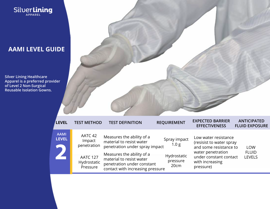

#### **AAMI LEVEL GUIDE**

**Silver Lining Healthcare Apparel is a preferred provider of Level 2 Non-Surgical Reusable Isolation Gowns.**



| <b>LEVEL</b>                | <b>TEST METHOD</b>                                                             | <b>TEST DEFINITION</b>                                                                                                                                                                                             | <b>REQUIREMENT</b>                                       | <b>EXPECTED BARRIER</b><br><b>EFFECTIVENESS</b>                                                                                                           | <b>ANTICIPATED</b><br><b>FLUID EXPOSURE</b> |
|-----------------------------|--------------------------------------------------------------------------------|--------------------------------------------------------------------------------------------------------------------------------------------------------------------------------------------------------------------|----------------------------------------------------------|-----------------------------------------------------------------------------------------------------------------------------------------------------------|---------------------------------------------|
| <b>AAMI</b><br><b>LEVEL</b> | AATC 42<br>Impact<br>penetration<br><b>AATC 127</b><br>Hydrostatic<br>Pressure | Measures the ability of a<br>material to resist water<br>penetration under spray impact<br>Measures the ability of a<br>material to resist water<br>penetration under constant<br>contact with increasing pressure | Spray impact<br>1.0 g<br>Hydrostatic<br>pressure<br>20cm | Low water resistance<br>(resisist to water spray<br>and some resistance to<br>water penetration<br>under constant contact<br>with increasing<br>pressure) | <b>LOW</b><br><b>FLUID</b><br><b>LEVELS</b> |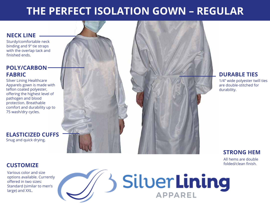## **THE PERFECT ISOLATION GOWN – REGULAR**

#### **NECK LINE**

Sturdy/comfortable neck binding and 9" tie straps with the overlap tack and finished ends.

#### **POLY/CARBON FABRIC**

Silver Lining Healthcare Apparels gown is made with teflon coated polyester, offering the highest level of pathogen and blood protection. Breathable comfort and durability up to 75 wash/dry cycles.

**ELASTICIZED CUFFS** Snug and quick drying.



1/4" wide polyester twill ties are double-stitched for durability.

#### **STRONG HEM**

All hems are double folded/clean finish.

#### **CUSTOMIZE**

Various color and size options available. Currently offered in two sizes: Standard (similar to men's large) and XXL.

# SilverLining **APPAREL**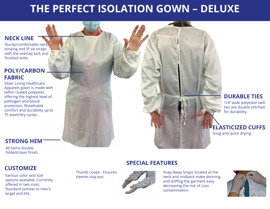## **THE PERFECT ISOLATION GOWN – DELUXE**

#### **NECK LINE**

Sturdy/comfortable neck binding and 9" tie straps with the overlap tack and finished ends.

#### **POLY/CARBON FABRIC**

Silver Lining Healthcare Apparels gown is made with teflon coated polyester, offering the highest level of pathogen and blood protection. Breathable comfort and durability up to 75 wash/dry cycles.

#### **STRONG HEM**

All hems double folded/clean finish.

#### **CUSTOMIZE**

Various color and size options available. Currently offered in two sizes: Standard (similar to men's large) and XXL.

Thumb Loops - Ensures sleeves stay put

#### **SPECIAL FEATURES**



Snap Away Snaps located at the neck and midback make donning and doffing the garment easy decreasing the risk of coss contamination.



#### **DURABLE TIES**

1/4" wide polyester twill ties are double-stitched for durability.

#### **ELASTICIZED CUFFS**

Snug and quick drying.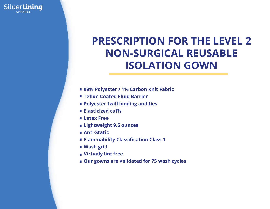## **PRESCRIPTION FOR THE LEVEL 2 NON-SURGICAL REUSABLE ISOLATION GOWN**

- **99% Polyester / 1% Carbon Knit Fabric**
- **Teflon Coated Fluid Barrier**
- **Polyester twill binding and ties**
- **Elasticized cuffs**
- **Latex Free**

SilverLining

- **Lightweight 9.5 ounces**
- **Anti-Static**
- **Flammability Classification Class 1**
- **Wash grid**
- **Virtualy lint free**
- **Our gowns are validated for 75 wash cycles**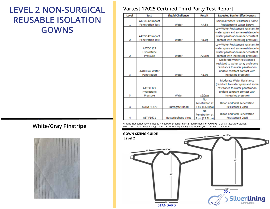## **LEVEL 2 NON-SURGICAL REUSABLE ISOLATION GOWNS**

#### **Vartest 17025 Certified Third Party Test Report**

| Level | <b>Test</b>             | <b>Liquid Challenge</b>    | <b>Result</b>   | <b>Expected Barrier Effectiveness</b> |
|-------|-------------------------|----------------------------|-----------------|---------------------------------------|
|       | <b>AATCC 42 Impact</b>  |                            |                 | Minimal Water Resistance (Some        |
| 1     | <b>Penetration Test</b> | Water                      | <4.5g           | Resistance to Water Spray)            |
|       |                         |                            |                 | Low Water Resistance (resistant to    |
|       |                         |                            |                 | water spray and some resistance to    |
|       | <b>AATCC 42 Impact</b>  |                            |                 | water penetration under constant      |
| 2     | <b>Penetration Test</b> | Water                      | $\leq 1.0g$     | contact with increasing pressure)     |
|       |                         |                            |                 | Low Water Resistance (resistant to    |
|       | AATCC 127               |                            |                 | water spray and some resistance to    |
|       | Hydrostatic             |                            |                 | water penetration under constant      |
| 2     | Pressure                | Water                      | >20cm           | contact with increasing pressure)     |
|       |                         |                            |                 | Moderate Water Resistance (           |
|       |                         |                            |                 | resistant to water spray and some     |
|       |                         |                            |                 | resistance to water penetration       |
|       | <b>AATCC 42 Water</b>   |                            |                 | undere constant contact with          |
| з     | Penetration             | Water                      | $\leq 1.0g$     | increasing pressure)                  |
|       |                         |                            |                 | Moderate Water Resistance             |
|       |                         |                            |                 | (resistant to water spray and some    |
|       | AATCC 127               |                            |                 | resistance to water penetration       |
|       | Hydrostatic             |                            |                 | undere constant contact with          |
| з     | Pressure                | Water                      | $<$ 50 $cm$     | increasing pressure)                  |
|       |                         |                            | <b>No</b>       |                                       |
|       |                         |                            | Penetration at  | <b>Blood and Viral Penetration</b>    |
| 4     | <b>ASTM F1670</b>       | Surrogate Blood            | 2 psi (13.8kpa) | Resistance (2psi)                     |
|       |                         |                            | No              |                                       |
|       |                         |                            | Penetration at  | <b>Blood and Viral Penetration</b>    |
|       | <b>AST F1671</b>        | <b>Bacteriophage Virus</b> | 2 psi (13.8kpa) | Resistance (2psi)                     |



White/Gray Pinstripe **Mateurian Constant of AAMI PB70** by Vartest Laboratories.



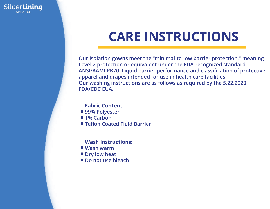

## **CARE INSTRUCTIONS**

**Our isolation gowns meet the "minimal-to-low barrier protection," meaning Level 2 protection or equivalent under the FDA-recognized standard ANSI/AAMI PB70: Liquid barrier performance and classification of protective apparel and drapes intended for use in health care facilities; Our washing instructions are as follows as required by the 5.22.2020 FDA/CDC EUA.**

#### **Fabric Content:**

- 99% Polyester
- 1% Carbon
- **Teflon Coated Fluid Barrier**

#### **Wash Instructions:**

- **Wash warm**
- Dry low heat
- Do not use bleach